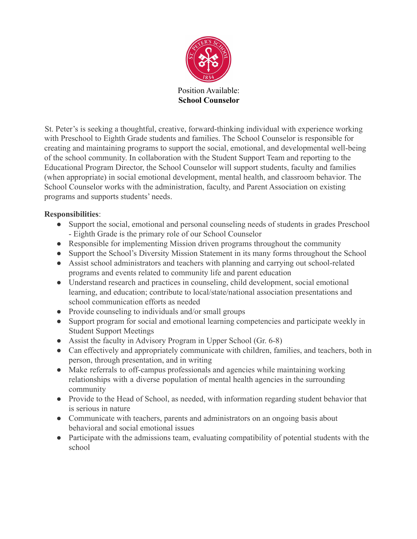

**School Counselor**

St. Peter's is seeking a thoughtful, creative, forward-thinking individual with experience working with Preschool to Eighth Grade students and families. The School Counselor is responsible for creating and maintaining programs to support the social, emotional, and developmental well-being of the school community. In collaboration with the Student Support Team and reporting to the Educational Program Director, the School Counselor will support students, faculty and families (when appropriate) in social emotional development, mental health, and classroom behavior. The School Counselor works with the administration, faculty, and Parent Association on existing programs and supports students' needs.

## **Responsibilities**:

- Support the social, emotional and personal counseling needs of students in grades Preschool - Eighth Grade is the primary role of our School Counselor
- Responsible for implementing Mission driven programs throughout the community
- Support the School's Diversity Mission Statement in its many forms throughout the School
- Assist school administrators and teachers with planning and carrying out school-related programs and events related to community life and parent education
- Understand research and practices in counseling, child development, social emotional learning, and education; contribute to local/state/national association presentations and school communication efforts as needed
- Provide counseling to individuals and/or small groups
- Support program for social and emotional learning competencies and participate weekly in Student Support Meetings
- Assist the faculty in Advisory Program in Upper School (Gr. 6-8)
- Can effectively and appropriately communicate with children, families, and teachers, both in person, through presentation, and in writing
- Make referrals to off-campus professionals and agencies while maintaining working relationships with a diverse population of mental health agencies in the surrounding community
- Provide to the Head of School, as needed, with information regarding student behavior that is serious in nature
- Communicate with teachers, parents and administrators on an ongoing basis about behavioral and social emotional issues
- Participate with the admissions team, evaluating compatibility of potential students with the school